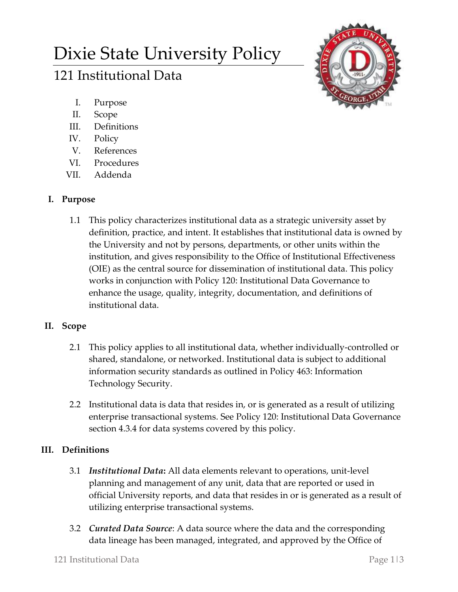# Dixie State University Policy

## 121 Institutional Data



- I. Purpose
- II. Scope
- III. Definitions
- IV. Policy
- V. References
- VI. Procedures
- VII. Addenda

## **I. Purpose**

1.1 This policy characterizes institutional data as a strategic university asset by definition, practice, and intent. It establishes that institutional data is owned by the University and not by persons, departments, or other units within the institution, and gives responsibility to the Office of Institutional Effectiveness (OIE) as the central source for dissemination of institutional data. This policy works in conjunction with Policy 120: Institutional Data Governance to enhance the usage, quality, integrity, documentation, and definitions of institutional data.

## **II. Scope**

- 2.1 This policy applies to all institutional data, whether individually-controlled or shared, standalone, or networked. Institutional data is subject to additional information security standards as outlined in Policy 463: Information Technology Security.
- 2.2 Institutional data is data that resides in, or is generated as a result of utilizing enterprise transactional systems. See Policy 120: Institutional Data Governance section 4.3.4 for data systems covered by this policy.

## **III. Definitions**

- 3.1 *Institutional Data***:** All data elements relevant to operations, unit-level planning and management of any unit, data that are reported or used in official University reports, and data that resides in or is generated as a result of utilizing enterprise transactional systems.
- 3.2 *Curated Data Source*: A data source where the data and the corresponding data lineage has been managed, integrated, and approved by the Office of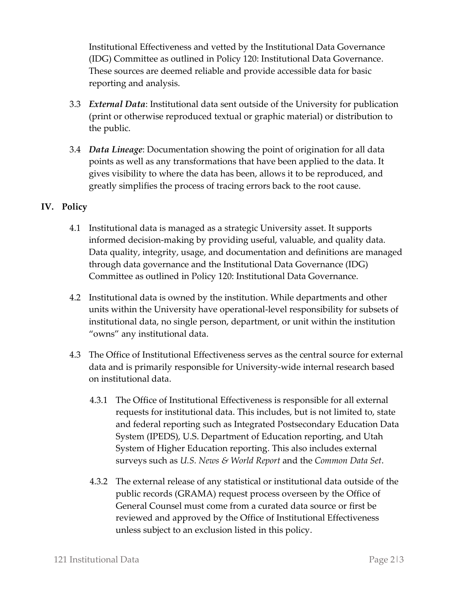Institutional Effectiveness and vetted by the Institutional Data Governance (IDG) Committee as outlined in Policy 120: Institutional Data Governance. These sources are deemed reliable and provide accessible data for basic reporting and analysis.

- 3.3 *External Data*: Institutional data sent outside of the University for publication (print or otherwise reproduced textual or graphic material) or distribution to the public.
- 3.4 *Data Lineage*: Documentation showing the point of origination for all data points as well as any transformations that have been applied to the data. It gives visibility to where the data has been, allows it to be reproduced, and greatly simplifies the process of tracing errors back to the root cause.

### **IV. Policy**

- 4.1 Institutional data is managed as a strategic University asset. It supports informed decision-making by providing useful, valuable, and quality data. Data quality, integrity, usage, and documentation and definitions are managed through data governance and the Institutional Data Governance (IDG) Committee as outlined in Policy 120: Institutional Data Governance.
- 4.2 Institutional data is owned by the institution. While departments and other units within the University have operational-level responsibility for subsets of institutional data, no single person, department, or unit within the institution "owns" any institutional data.
- 4.3 The Office of Institutional Effectiveness serves as the central source for external data and is primarily responsible for University-wide internal research based on institutional data.
	- 4.3.1 The Office of Institutional Effectiveness is responsible for all external requests for institutional data. This includes, but is not limited to, state and federal reporting such as Integrated Postsecondary Education Data System (IPEDS), U.S. Department of Education reporting, and Utah System of Higher Education reporting. This also includes external surveys such as *U.S. News & World Report* and the *Common Data Set*.
	- 4.3.2 The external release of any statistical or institutional data outside of the public records (GRAMA) request process overseen by the Office of General Counsel must come from a curated data source or first be reviewed and approved by the Office of Institutional Effectiveness unless subject to an exclusion listed in this policy.